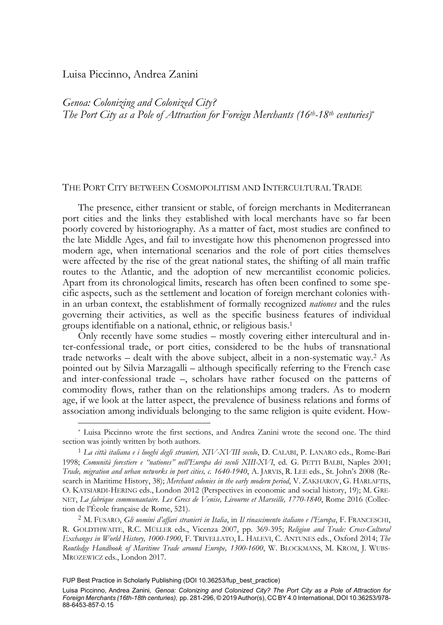# Luisa Piccinno, Andrea Zanini

-

*Genoa: Colonizing and Colonized City? The Port City as a Pole of Attraction for Foreign Merchants (16th-18th centuries)*\*

# THE PORT CITY BETWEEN COSMOPOLITISM AND INTERCULTURAL TRADE

The presence, either transient or stable, of foreign merchants in Mediterranean port cities and the links they established with local merchants have so far been poorly covered by historiography. As a matter of fact, most studies are confined to the late Middle Ages, and fail to investigate how this phenomenon progressed into modern age, when international scenarios and the role of port cities themselves were affected by the rise of the great national states, the shifting of all main traffic routes to the Atlantic, and the adoption of new mercantilist economic policies. Apart from its chronological limits, research has often been confined to some specific aspects, such as the settlement and location of foreign merchant colonies within an urban context, the establishment of formally recognized *nationes* and the rules governing their activities, as well as the specific business features of individual groups identifiable on a national, ethnic, or religious basis.1

Only recently have some studies – mostly covering either intercultural and inter-confessional trade, or port cities, considered to be the hubs of transnational trade networks – dealt with the above subject, albeit in a non-systematic way.2 As pointed out by Silvia Marzagalli – although specifically referring to the French case and inter-confessional trade –, scholars have rather focused on the patterns of commodity flows, rather than on the relationships among traders. As to modern age, if we look at the latter aspect, the prevalence of business relations and forms of association among individuals belonging to the same religion is quite evident. How-

<sup>\*</sup> Luisa Piccinno wrote the first sections, and Andrea Zanini wrote the second one. The third section was jointly written by both authors.

<sup>1</sup> *La città italiana e i luoghi degli stranieri, XIV-XVIII secolo*, D. CALABI, P. LANARO eds., Rome-Bari 1998; *Comunità forestiere e "nationes" nell'Europa dei secoli XIII-XVI*, ed. G. PETTI BALBI, Naples 2001; *Trade, migration and urban networks in port cities, c. 1640-1940*, A. JARVIS, R. LEE eds., St. John's 2008 (Research in Maritime History, 38); *Merchant colonies in the early modern period*, V. ZAKHAROV, G. HARLAFTIS, O. KATSIARDI-HERING eds., London 2012 (Perspectives in economic and social history, 19); M. GRE-NET, *La fabrique communautaire. Les Grecs de Venise, Livourne et Marseille, 1770-1840*, Rome 2016 (Collection de l'École française de Rome, 521).

<sup>2</sup> M. FUSARO, *Gli uomini d'affari stranieri in Italia*, in *Il rinascimento italiano e l'Europa*, F. FRANCESCHI, R. GOLDTHWAITE, R.C. MÜLLER eds., Vicenza 2007, pp. 369-395; *Religion and Trade: Cross-Cultural Exchanges in World History, 1000-1900*, F. TRIVELLATO, L. HALEVI, C. ANTUNES eds., Oxford 2014; *The Routledge Handbook of Maritime Trade around Europe, 1300-1600*, W. BLOCKMANS, M. KROM, J. WUBS-MROZEWICZ eds., London 2017.

FUP Best Practice in Scholarly Publishing (DOI [10.36253/fup\\_best\\_practice\)](https://doi.org/10.36253/fup_best_practice)

Luisa Piccinno, Andrea Zanini*, Genoa: Colonizing and Colonized City? The Port City as a Pole of Attraction for Foreign Merchants (16th-18th centuries),* pp. 281-296, © 2019 Author(s), [CC BY 4.0 International,](http://creativecommons.org/licenses/by/4.0/legalcode) DOI [10.36253/978-](https://doi.org/10.36253/978-88-6453-857-0.15) [88-6453-857-0.15](https://doi.org/10.36253/978-88-6453-857-0.15)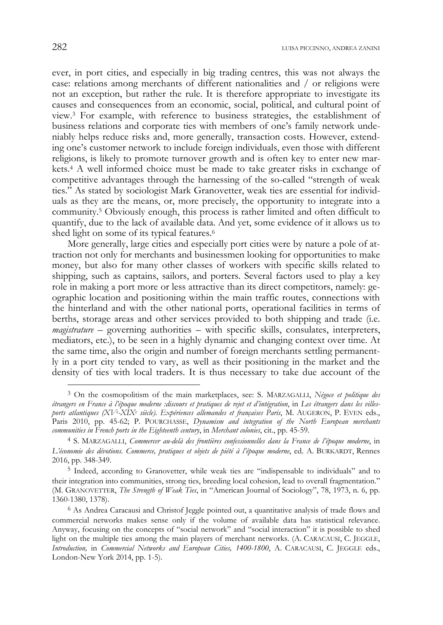ever, in port cities, and especially in big trading centres, this was not always the case: relations among merchants of different nationalities and / or religions were not an exception, but rather the rule. It is therefore appropriate to investigate its causes and consequences from an economic, social, political, and cultural point of view.3 For example, with reference to business strategies, the establishment of business relations and corporate ties with members of one's family network undeniably helps reduce risks and, more generally, transaction costs. However, extending one's customer network to include foreign individuals, even those with different religions, is likely to promote turnover growth and is often key to enter new markets.4 A well informed choice must be made to take greater risks in exchange of competitive advantages through the harnessing of the so-called "strength of weak ties." As stated by sociologist Mark Granovetter, weak ties are essential for individuals as they are the means, or, more precisely, the opportunity to integrate into a community.5 Obviously enough, this process is rather limited and often difficult to quantify, due to the lack of available data. And yet, some evidence of it allows us to shed light on some of its typical features.<sup>6</sup>

More generally, large cities and especially port cities were by nature a pole of attraction not only for merchants and businessmen looking for opportunities to make money, but also for many other classes of workers with specific skills related to shipping, such as captains, sailors, and porters. Several factors used to play a key role in making a port more or less attractive than its direct competitors, namely: geographic location and positioning within the main traffic routes, connections with the hinterland and with the other national ports, operational facilities in terms of berths, storage areas and other services provided to both shipping and trade (i.e. magistrature – governing authorities – with specific skills, consulates, interpreters, mediators, etc.), to be seen in a highly dynamic and changing context over time. At the same time, also the origin and number of foreign merchants settling permanently in a port city tended to vary, as well as their positioning in the market and the density of ties with local traders. It is thus necessary to take due account of the

<sup>3</sup> On the cosmopolitism of the main marketplaces, see: S. MARZAGALLI, *Négoce et politique des étrangers en France à l'époque moderne :discours et pratiques de rejet et d'intégration*, in *Les étrangers dans les villesports atlantiques (XVe -XIXe siècle). Expériences allemandes et françaises Paris*, M. AUGERON, P. EVEN eds., Paris 2010, pp. 45-62; P. POURCHASSE, *Dynamism and integration of the North European merchants communities in French ports in the Eighteenth century*, in *Merchant colonies*, cit., pp. 45-59.

<sup>4</sup> S. MARZAGALLI, *Commercer au-delà des frontières confessionnelles dans la France de l'époque moderne*, in *L'économie des dévotions. Commerce, pratiques et objets de piété à l'époque moderne*, ed. A. BURKARDT, Rennes 2016, pp. 348-349.

<sup>5</sup> Indeed, according to Granovetter, while weak ties are "indispensable to individuals" and to their integration into communities, strong ties, breeding local cohesion, lead to overall fragmentation." (M. GRANOVETTER, *The Strength of Weak Ties*, in "American Journal of Sociology", 78, 1973, n. 6, pp. 1360-1380, 1378).

<sup>6</sup> As Andrea Caracausi and Christof Jeggle pointed out, a quantitative analysis of trade flows and commercial networks makes sense only if the volume of available data has statistical relevance. Anyway, focusing on the concepts of "social network" and "social interaction" it is possible to shed light on the multiple ties among the main players of merchant networks. (A. CARACAUSI, C. JEGGLE, *Introduction,* in *Commercial Networks and European Cities, 1400-1800*, A. CARACAUSI, C. JEGGLE eds., London-New York 2014, pp. 1-5).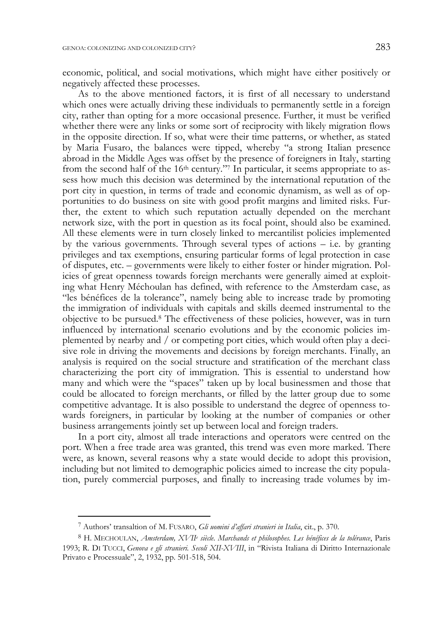economic, political, and social motivations, which might have either positively or negatively affected these processes.

As to the above mentioned factors, it is first of all necessary to understand which ones were actually driving these individuals to permanently settle in a foreign city, rather than opting for a more occasional presence. Further, it must be verified whether there were any links or some sort of reciprocity with likely migration flows in the opposite direction. If so, what were their time patterns, or whether, as stated by Maria Fusaro, the balances were tipped, whereby "a strong Italian presence abroad in the Middle Ages was offset by the presence of foreigners in Italy, starting from the second half of the  $16<sup>th</sup>$  century."<sup>7</sup> In particular, it seems appropriate to assess how much this decision was determined by the international reputation of the port city in question, in terms of trade and economic dynamism, as well as of opportunities to do business on site with good profit margins and limited risks. Further, the extent to which such reputation actually depended on the merchant network size, with the port in question as its focal point, should also be examined. All these elements were in turn closely linked to mercantilist policies implemented by the various governments. Through several types of actions – i.e. by granting privileges and tax exemptions, ensuring particular forms of legal protection in case of disputes, etc. – governments were likely to either foster or hinder migration. Policies of great openness towards foreign merchants were generally aimed at exploiting what Henry Méchoulan has defined, with reference to the Amsterdam case, as "les bénéfices de la tolerance", namely being able to increase trade by promoting the immigration of individuals with capitals and skills deemed instrumental to the objective to be pursued.8 The effectiveness of these policies, however, was in turn influenced by international scenario evolutions and by the economic policies implemented by nearby and / or competing port cities, which would often play a decisive role in driving the movements and decisions by foreign merchants. Finally, an analysis is required on the social structure and stratification of the merchant class characterizing the port city of immigration. This is essential to understand how many and which were the "spaces" taken up by local businessmen and those that could be allocated to foreign merchants, or filled by the latter group due to some competitive advantage. It is also possible to understand the degree of openness towards foreigners, in particular by looking at the number of companies or other business arrangements jointly set up between local and foreign traders.

In a port city, almost all trade interactions and operators were centred on the port. When a free trade area was granted, this trend was even more marked. There were, as known, several reasons why a state would decide to adopt this provision, including but not limited to demographic policies aimed to increase the city population, purely commercial purposes, and finally to increasing trade volumes by im-

<sup>7</sup> Authors' transaltion of M. FUSARO, *Gli uomini d'affari stranieri in Italia*, cit., p. 370.

<sup>&</sup>lt;sup>8</sup> H. MECHOULAN, *Amsterdam, XVII<sup>e</sup> siècle. Marchands et philosophes. Les bénéfices de la tolérance*, Paris 1993; R. DI TUCCI, *Genova e gli stranieri. Secoli XII-XVIII*, in "Rivista Italiana di Diritto Internazionale Privato e Processuale", 2, 1932, pp. 501-518, 504.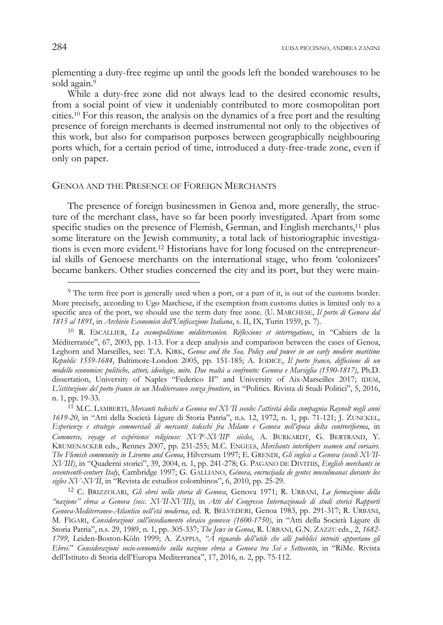plementing a duty-free regime up until the goods left the bonded warehouses to be sold again.<sup>9</sup>

While a duty-free zone did not always lead to the desired economic results, from a social point of view it undeniably contributed to more cosmopolitan port cities.10 For this reason, the analysis on the dynamics of a free port and the resulting presence of foreign merchants is deemed instrumental not only to the objectives of this work, but also for comparison purposes between geographically neighbouring ports which, for a certain period of time, introduced a duty-free-trade zone, even if only on paper.

#### GENOA AND THE PRESENCE OF FOREIGN MERCHANTS

The presence of foreign businessmen in Genoa and, more generally, the structure of the merchant class, have so far been poorly investigated. Apart from some specific studies on the presence of Flemish, German, and English merchants,<sup>11</sup> plus some literature on the Jewish community, a total lack of historiographic investigations is even more evident.12 Historians have for long focused on the entrepreneurial skills of Genoese merchants on the international stage, who from 'colonizers' became bankers. Other studies concerned the city and its port, but they were main-

j

<sup>9</sup> The term free port is generally used when a port, or a part of it, is out of the customs border. More precisely, according to Ugo Marchese, if the exemption from customs duties is limited only to a specific area of the port, we should use the term duty free zone. (U. MARCHESE, *Il porto di Genova dal 1815 al 1891*, in *Archivio Economico dell'Unificazione Italiana*, s. II, IX, Turin 1959, p. 7).

<sup>10</sup> R. ESCALLIER, *Le cosmopolitisme méditerranéen. Réflexions et interrogations*, in "Cahiers de la Méditerranée", 67, 2003, pp. 1-13. For a deep analysis and comparison between the cases of Genoa, Leghorn and Marseilles, see: T.A. KIRK, *Genoa and the Sea. Policy and power in an early modern maritime Republic 1559-1684*, Baltimore-London 2005, pp. 151-185; A. IODICE, *Il porto franco, diffusione di un modello economico: politiche, attori, ideologie, mito. Due realtà a confronto: Genova e Marsiglia (1590-1817)*, Ph.D. dissertation, University of Naples "Federico II" and University of Aix-Marseilles 2017; IDEM, *L'istituzione del porto franco in un Mediterraneo senza frontiere*, in "Politics. Rivista di Studi Politici", 5, 2016, n. 1, pp. 19-33. 11 M.C. LAMBERTI, *Mercanti tedeschi a Genova nel XVII secolo: l'attività della compagnia Raynolt negli anni* 

*<sup>1619-20</sup>*, in "Atti della Società Ligure di Storia Patria", n.s. 12, 1972, n. 1, pp. 71-121; J. ZUNCKEL*, Esperienze e strategie commerciali di mercanti tedeschi fra Milano e Genova nell'epoca delta controriforma*, in *Commerce, voyage et expérience religieuse: XVI*e*-XVIII*e *siècles*, A. BURKARDT, G. BERTRAND, Y. KRUMENACKER eds., Rennes 2007, pp. 231-255; M.C. ENGELS, *Merchants interlopers seamen and corsairs. The Flemish community in Livorno and Genoa*, Hilversum 1997; E. GRENDI, *Gli inglesi a Genova (secoli XVII-XVIII)*, in "Quaderni storici", 39, 2004, n. 1, pp. 241-278; G. PAGANO DE DIVITIIS, *English merchants in seventeenth-century Italy*, Cambridge 1997; G. GALLIANO, *Génova, encrucijada de gentes musulmanas durante los siglos XV-XVII*, in "Revista de estudios colombinos", 6, 2010, pp. 25-29.

<sup>12</sup> C. BRIZZOLARI, *Gli ebrei nella storia di Genova*, Genova 1971; R. URBANI, *La formazione della "nazione" ebrea a Genova (secc. XVII-XVIII)*, in *Atti del Congresso Internazionale di studi storici Rapporti Genova-Mediterraneo-Atlantico nell'età moderna*, ed. R. BELVEDERI, Genoa 1983, pp. 291-317; R. URBANI, M. FIGARI, *Considerazioni sull'insediamento ebraico genovese (1600-1750)*, in "Atti della Società Ligure di Storia Patria", n.s. 29, 1989, n. 1, pp. 305-337; *The Jews in Genoa*, R. URBANI, G.N. ZAZZU eds., 2, *1682- 1799*, Leiden-Boston-Köln 1999; A. ZAPPIA, *"À riguardo dell'utile che alli pubblici introiti apportano gli Ebrei*." *Considerazioni socio-economiche sulla nazione ebrea a Genova tra Sei e Settecento*, in "RiMe. Rivista dell'Istituto di Storia dell'Europa Mediterranea", 17, 2016, n. 2, pp. 75-112.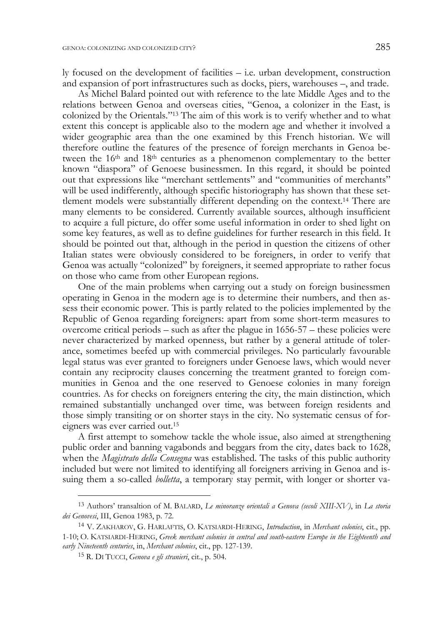ly focused on the development of facilities – i.e. urban development, construction and expansion of port infrastructures such as docks, piers, warehouses –, and trade.

As Michel Balard pointed out with reference to the late Middle Ages and to the relations between Genoa and overseas cities, "Genoa, a colonizer in the East, is colonized by the Orientals."13 The aim of this work is to verify whether and to what extent this concept is applicable also to the modern age and whether it involved a wider geographic area than the one examined by this French historian. We will therefore outline the features of the presence of foreign merchants in Genoa between the 16th and 18th centuries as a phenomenon complementary to the better known "diaspora" of Genoese businessmen. In this regard, it should be pointed out that expressions like "merchant settlements" and "communities of merchants" will be used indifferently, although specific historiography has shown that these settlement models were substantially different depending on the context.14 There are many elements to be considered. Currently available sources, although insufficient to acquire a full picture, do offer some useful information in order to shed light on some key features, as well as to define guidelines for further research in this field. It should be pointed out that, although in the period in question the citizens of other Italian states were obviously considered to be foreigners, in order to verify that Genoa was actually "colonized" by foreigners, it seemed appropriate to rather focus on those who came from other European regions.

One of the main problems when carrying out a study on foreign businessmen operating in Genoa in the modern age is to determine their numbers, and then assess their economic power. This is partly related to the policies implemented by the Republic of Genoa regarding foreigners: apart from some short-term measures to overcome critical periods – such as after the plague in 1656-57 – these policies were never characterized by marked openness, but rather by a general attitude of tolerance, sometimes beefed up with commercial privileges. No particularly favourable legal status was ever granted to foreigners under Genoese laws, which would never contain any reciprocity clauses concerning the treatment granted to foreign communities in Genoa and the one reserved to Genoese colonies in many foreign countries. As for checks on foreigners entering the city, the main distinction, which remained substantially unchanged over time, was between foreign residents and those simply transiting or on shorter stays in the city. No systematic census of foreigners was ever carried out.15

A first attempt to somehow tackle the whole issue, also aimed at strengthening public order and banning vagabonds and beggars from the city, dates back to 1628, when the *Magistrato della Consegna* was established. The tasks of this public authority included but were not limited to identifying all foreigners arriving in Genoa and issuing them a so-called *bolletta*, a temporary stay permit, with longer or shorter va-

<sup>13</sup> Authors' transaltion of M. BALARD, *Le minoranze orientali a Genova (secoli XIII-XV)*, in *La storia dei Genovesi*, III, Genoa 1983, p. 72.

<sup>14</sup> V. ZAKHAROV, G. HARLAFTIS, O. KATSIARDI-HERING, *Introduction*, in *Merchant colonies*, cit., pp. 1-10; O. KATSIARDI-HERING, *Greek merchant colonies in central and south-eastern Europe in the Eighteenth and early Nineteenth centuries*, in, *Merchant colonies*, cit., pp. 127-139.

<sup>15</sup> R. DI TUCCI, *Genova e gli stranieri*, cit., p. 504.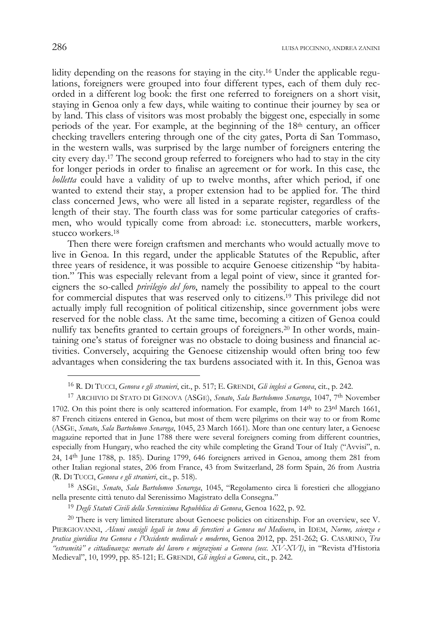lidity depending on the reasons for staying in the city.16 Under the applicable regulations, foreigners were grouped into four different types, each of them duly recorded in a different log book: the first one referred to foreigners on a short visit, staying in Genoa only a few days, while waiting to continue their journey by sea or by land. This class of visitors was most probably the biggest one, especially in some periods of the year. For example, at the beginning of the  $18<sup>th</sup>$  century, an officer checking travellers entering through one of the city gates, Porta di San Tommaso, in the western walls, was surprised by the large number of foreigners entering the city every day.17 The second group referred to foreigners who had to stay in the city for longer periods in order to finalise an agreement or for work. In this case, the *bolletta* could have a validity of up to twelve months, after which period, if one wanted to extend their stay, a proper extension had to be applied for. The third class concerned Jews, who were all listed in a separate register, regardless of the length of their stay. The fourth class was for some particular categories of craftsmen, who would typically come from abroad: i.e. stonecutters, marble workers, stucco workers.18

Then there were foreign craftsmen and merchants who would actually move to live in Genoa. In this regard, under the applicable Statutes of the Republic, after three years of residence, it was possible to acquire Genoese citizenship "by habitation." This was especially relevant from a legal point of view, since it granted foreigners the so-called *privilegio del foro*, namely the possibility to appeal to the court for commercial disputes that was reserved only to citizens.19 This privilege did not actually imply full recognition of political citizenship, since government jobs were reserved for the noble class. At the same time, becoming a citizen of Genoa could nullify tax benefits granted to certain groups of foreigners.20 In other words, maintaining one's status of foreigner was no obstacle to doing business and financial activities. Conversely, acquiring the Genoese citizenship would often bring too few advantages when considering the tax burdens associated with it. In this, Genoa was

<sup>16</sup> R. DI TUCCI, *Genova e gli stranieri*, cit., p. 517; E. GRENDI, *Gli inglesi a Genova*, cit., p. 242.

<sup>17</sup> ARCHIVIO DI STATO DI GENOVA (ASGE), *Senato*, *Sala Bartolomeo Senarega*, 1047, 7th November

<sup>1702.</sup> On this point there is only scattered information. For example, from 14<sup>th</sup> to 23<sup>rd</sup> March 1661, 87 French citizens entered in Genoa, but most of them were pilgrims on their way to or from Rome (ASGE, *Senato*, *Sala Bartolomeo Senarega*, 1045, 23 March 1661). More than one century later, a Genoese magazine reported that in June 1788 there were several foreigners coming from different countries, especially from Hungary, who reached the city while completing the Grand Tour of Italy ("Avvisi", n. 24, 14th June 1788, p. 185). During 1799, 646 foreigners arrived in Genoa, among them 281 from other Italian regional states, 206 from France, 43 from Switzerland, 28 form Spain, 26 from Austria (R. DI TUCCI, *Genova e gli stranieri*, cit., p. 518).

<sup>18</sup> ASGE, *Senato*, *Sala Bartolomeo Senarega*, 1045, "Regolamento circa li forestieri che alloggiano nella presente città tenuto dal Serenissimo Magistrato della Consegna."

<sup>19</sup> *Degli Statuti Civili della Serenissima Repubblica di Genova*, Genoa 1622, p. 92.

<sup>&</sup>lt;sup>20</sup> There is very limited literature about Genoese policies on citizenship. For an overview, see V. PIERGIOVANNI, *Alcuni consigli legali in tema di forestieri a Genova nel Medioevo*, in IDEM, *Norme, scienza e pratica giuridica tra Genova e l'Occidente medievale e moderno*, Genoa 2012, pp. 251-262; G. CASARINO, *Tra "estraneità" e cittadinanza: mercato del lavoro e migrazioni a Genova (secc. XV-XVI)*, in "Revista d'Historia Medieval", 10, 1999, pp. 85-121; E. GRENDI, *Gli inglesi a Genova*, cit., p. 242.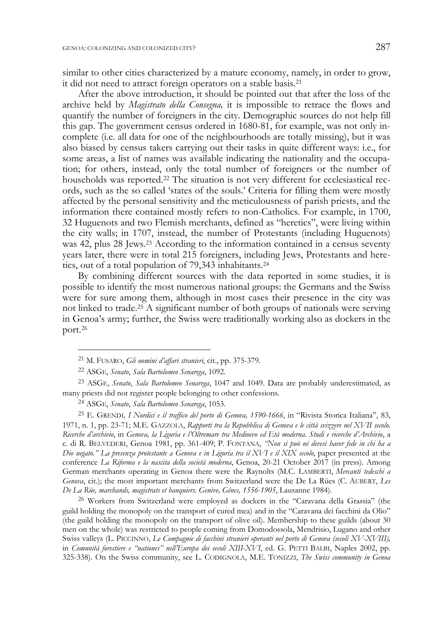similar to other cities characterized by a mature economy, namely, in order to grow, it did not need to attract foreign operators on a stable basis.21

After the above introduction, it should be pointed out that after the loss of the archive held by *Magistrato della Consegna,* it is impossible to retrace the flows and quantify the number of foreigners in the city. Demographic sources do not help fill this gap. The government census ordered in 1680-81, for example, was not only incomplete (i.e. all data for one of the neighbourhoods are totally missing), but it was also biased by census takers carrying out their tasks in quite different ways: i.e., for some areas, a list of names was available indicating the nationality and the occupation; for others, instead, only the total number of foreigners or the number of households was reported.<sup>22</sup> The situation is not very different for ecclesiastical records, such as the so called 'states of the souls.' Criteria for filling them were mostly affected by the personal sensitivity and the meticulousness of parish priests, and the information there contained mostly refers to non-Catholics. For example, in 1700, 32 Huguenots and two Flemish merchants, defined as "heretics", were living within the city walls; in 1707, instead, the number of Protestants (including Huguenots) was 42, plus 28 Jews.23 According to the information contained in a census seventy years later, there were in total 215 foreigners, including Jews, Protestants and heretics, out of a total population of 79,343 inhabitants.24

By combining different sources with the data reported in some studies, it is possible to identify the most numerous national groups: the Germans and the Swiss were for sure among them, although in most cases their presence in the city was not linked to trade.25 A significant number of both groups of nationals were serving in Genoa's army; further, the Swiss were traditionally working also as dockers in the port.26

<sup>21</sup> M. FUSARO, *Gli uomini d'affari stranieri*, cit., pp. 375-379.

<sup>22</sup> ASGE, *Senato*, *Sala Bartolomeo Senarega*, 1092.

<sup>23</sup> ASGE, *Senato*, *Sala Bartolomeo Senarega*, 1047 and 1049. Data are probably underestimated, as many priests did not register people belonging to other confessions.

<sup>24</sup> ASGE, *Senato*, *Sala Bartolomeo Senarega*, 1053.

<sup>25</sup> E. GRENDI*, I Nordici e il traffico del porto di Genova, 1590-1666*, in "Rivista Storica Italiana", 83, 1971, n. 1, pp. 23-71; M.E. GAZZOLA, *Rapporti tra la Repubblica di Genova e le città svizzere nel XVII secolo. Ricerche d'archivio*, in *Genova, la Liguria e l'Oltremare tra Medioevo ed Età moderna. Studi e ricerche d'Archivio*, a c. di R. BELVEDERI, Genoa 1981, pp. 361-409; P. FONTANA, *"Non si può né devesi haver fede in chi ha a Dio negato." La presenza protestante a Genova e in Liguria tra il XVI e il XIX secolo*, paper presented at the conference *La Riforma e la nascita della società moderna*, Genoa, 20-21 October 2017 (in press). Among German merchants operating in Genoa there were the Raynolts (M.C. LAMBERTI, *Mercanti tedeschi a Genova*, cit.); the most important merchants from Switzerland were the De La Rües (C. AUBERT, *Les De La Rüe, marchands, magistrats et banquiers. Genève, Gênes, 1556-1905*, Lausanne 1984).

<sup>26</sup> Workers from Switzerland were employed as dockers in the "Caravana della Grassia" (the guild holding the monopoly on the transport of cured mea) and in the "Caravana dei facchini da Olio" (the guild holding the monopoly on the transport of olive oil). Membership to these guilds (about 30 men on the whole) was restricted to people coming from Domodossola, Mendrisio, Lugano and other Swiss valleys (L. PICCINNO, *Le Compagnie di facchini stranieri operanti nel porto di Genova (secoli XV-XVIII),* in *Comunità forestiere e "nationes" nell'Europa dei secoli XIII-XVI*, ed. G. PETTI BALBI, Naples 2002, pp. 325-338). On the Swiss community, see L. CODIGNOLA, M.E. TONIZZI, *The Swiss community in Genoa*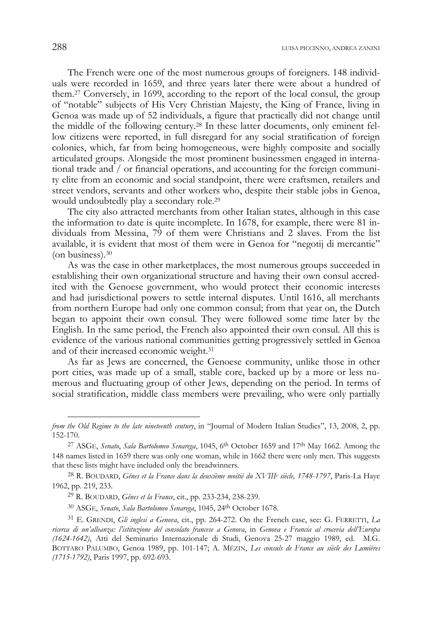The French were one of the most numerous groups of foreigners. 148 individuals were recorded in 1659, and three years later there were about a hundred of them.27 Conversely, in 1699, according to the report of the local consul, the group of "notable" subjects of His Very Christian Majesty, the King of France, living in Genoa was made up of 52 individuals, a figure that practically did not change until the middle of the following century.28 In these latter documents, only eminent fellow citizens were reported, in full disregard for any social stratification of foreign colonies, which, far from being homogeneous, were highly composite and socially articulated groups. Alongside the most prominent businessmen engaged in international trade and / or financial operations, and accounting for the foreign community elite from an economic and social standpoint, there were craftsmen, retailers and street vendors, servants and other workers who, despite their stable jobs in Genoa, would undoubtedly play a secondary role.29

The city also attracted merchants from other Italian states, although in this case the information to date is quite incomplete. In 1678, for example, there were 81 individuals from Messina, 79 of them were Christians and 2 slaves. From the list available, it is evident that most of them were in Genoa for "negotij di mercantie" (on business).30

As was the case in other marketplaces, the most numerous groups succeeded in establishing their own organizational structure and having their own consul accredited with the Genoese government, who would protect their economic interests and had jurisdictional powers to settle internal disputes. Until 1616, all merchants from northern Europe had only one common consul; from that year on, the Dutch began to appoint their own consul. They were followed some time later by the English. In the same period, the French also appointed their own consul. All this is evidence of the various national communities getting progressively settled in Genoa and of their increased economic weight.31

As far as Jews are concerned, the Genoese community, unlike those in other port cities, was made up of a small, stable core, backed up by a more or less numerous and fluctuating group of other Jews, depending on the period. In terms of social stratification, middle class members were prevailing, who were only partially

30 ASGE, *Senato*, *Sala Bartolomeo Senarega*, 1045, 24th October 1678.

*from the Old Regime to the late nineteenth century*, in "Journal of Modern Italian Studies", 13, 2008, 2, pp. 152-170.

<sup>27</sup> ASGE, *Senato*, *Sala Bartolomeo Senarega*, 1045, 6th October 1659 and 17th May 1662. Among the 148 names listed in 1659 there was only one woman, while in 1662 there were only men. This suggests that these lists might have included only the breadwinners.

<sup>28</sup> R. BOUDARD, *Gênes et la France dans la deuxième moitié du XVIIIe siècle, 1748-1797*, Paris-La Haye 1962, pp. 219, 233.

<sup>29</sup> R. BOUDARD, *Gênes et la France*, cit., pp. 233-234, 238-239.

<sup>31</sup> E. GRENDI, *Gli inglesi a Genova*, cit., pp. 264-272. On the French case, see: G. FERRETTI, *La ricerca di un'alleanza: l'istituzione del consolato francese a Genova*, in *Genova e Francia al crocevia dell'Europa (1624-1642)*, Atti del Seminario Internazionale di Studi, Genova 25-27 maggio 1989, ed. M.G. BOTTARO PALUMBO, Genoa 1989, pp. 101-147; A. MÉZIN, *Les consuls de France au siècle des Lumières (1715-1792)*, Paris 1997, pp. 692-693.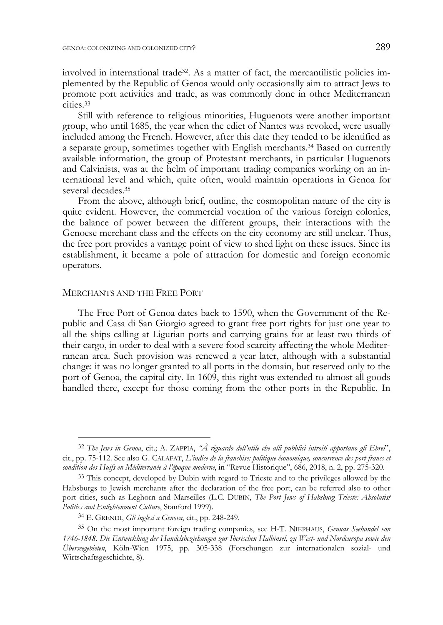involved in international trade32. As a matter of fact, the mercantilistic policies implemented by the Republic of Genoa would only occasionally aim to attract Jews to promote port activities and trade, as was commonly done in other Mediterranean cities.33

Still with reference to religious minorities, Huguenots were another important group, who until 1685, the year when the edict of Nantes was revoked, were usually included among the French. However, after this date they tended to be identified as a separate group, sometimes together with English merchants.34 Based on currently available information, the group of Protestant merchants, in particular Huguenots and Calvinists, was at the helm of important trading companies working on an international level and which, quite often, would maintain operations in Genoa for several decades.35

From the above, although brief, outline, the cosmopolitan nature of the city is quite evident. However, the commercial vocation of the various foreign colonies, the balance of power between the different groups, their interactions with the Genoese merchant class and the effects on the city economy are still unclear. Thus, the free port provides a vantage point of view to shed light on these issues. Since its establishment, it became a pole of attraction for domestic and foreign economic operators.

#### MERCHANTS AND THE FREE PORT

-

The Free Port of Genoa dates back to 1590, when the Government of the Republic and Casa di San Giorgio agreed to grant free port rights for just one year to all the ships calling at Ligurian ports and carrying grains for at least two thirds of their cargo, in order to deal with a severe food scarcity affecting the whole Mediterranean area. Such provision was renewed a year later, although with a substantial change: it was no longer granted to all ports in the domain, but reserved only to the port of Genoa, the capital city. In 1609, this right was extended to almost all goods handled there, except for those coming from the other ports in the Republic. In

<sup>32</sup> *The Jews in Genoa*, cit.; A. ZAPPIA, *"À riguardo dell'utile che alli pubblici introiti apportano gli Ebrei*", cit., pp. 75-112. See also G. CALAFAT, *L'indice de la franchise: politique économique, concurrence des port francs et condition des Huifs en Méditerranée à l'époque moderne*, in "Revue Historique", 686, 2018, n. 2, pp. 275-320.

<sup>33</sup> This concept, developed by Dubin with regard to Trieste and to the privileges allowed by the Habsburgs to Jewish merchants after the declaration of the free port, can be referred also to other port cities, such as Leghorn and Marseilles (L.C. DUBIN, *The Port Jews of Habsburg Trieste: Absolutist Politics and Enlightenment Culture*, Stanford 1999).

<sup>34</sup> E. GRENDI, *Gli inglesi a Genova*, cit., pp. 248-249.

<sup>35</sup> On the most important foreign trading companies, see H-T. NIEPHAUS, *Genuas Seehandel von 1746-1848. Die Entwicklung der Handelsbeziehungen zur Iberischen Halbinsel, zu West- und Nordeuropa sowie den Überseegebieten*, Köln-Wien 1975, pp. 305-338 (Forschungen zur internationalen sozial- und Wirtschaftsgeschichte, 8).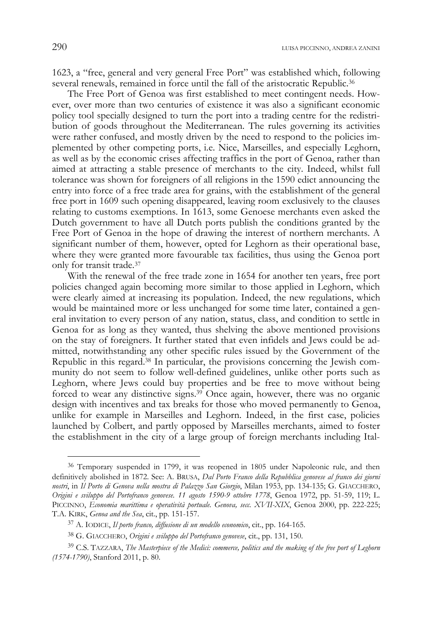1623, a "free, general and very general Free Port" was established which, following several renewals, remained in force until the fall of the aristocratic Republic.<sup>36</sup>

The Free Port of Genoa was first established to meet contingent needs. However, over more than two centuries of existence it was also a significant economic policy tool specially designed to turn the port into a trading centre for the redistribution of goods throughout the Mediterranean. The rules governing its activities were rather confused, and mostly driven by the need to respond to the policies implemented by other competing ports, i.e. Nice, Marseilles, and especially Leghorn, as well as by the economic crises affecting traffics in the port of Genoa, rather than aimed at attracting a stable presence of merchants to the city. Indeed, whilst full tolerance was shown for foreigners of all religions in the 1590 edict announcing the entry into force of a free trade area for grains, with the establishment of the general free port in 1609 such opening disappeared, leaving room exclusively to the clauses relating to customs exemptions. In 1613, some Genoese merchants even asked the Dutch government to have all Dutch ports publish the conditions granted by the Free Port of Genoa in the hope of drawing the interest of northern merchants. A significant number of them, however, opted for Leghorn as their operational base, where they were granted more favourable tax facilities, thus using the Genoa port only for transit trade.37

With the renewal of the free trade zone in 1654 for another ten years, free port policies changed again becoming more similar to those applied in Leghorn, which were clearly aimed at increasing its population. Indeed, the new regulations, which would be maintained more or less unchanged for some time later, contained a general invitation to every person of any nation, status, class, and condition to settle in Genoa for as long as they wanted, thus shelving the above mentioned provisions on the stay of foreigners. It further stated that even infidels and Jews could be admitted, notwithstanding any other specific rules issued by the Government of the Republic in this regard.38 In particular, the provisions concerning the Jewish community do not seem to follow well-defined guidelines, unlike other ports such as Leghorn, where Jews could buy properties and be free to move without being forced to wear any distinctive signs.<sup>39</sup> Once again, however, there was no organic design with incentives and tax breaks for those who moved permanently to Genoa, unlike for example in Marseilles and Leghorn. Indeed, in the first case, policies launched by Colbert, and partly opposed by Marseilles merchants, aimed to foster the establishment in the city of a large group of foreign merchants including Ital-

<sup>36</sup> Temporary suspended in 1799, it was reopened in 1805 under Napoleonic rule, and then definitively abolished in 1872. See: A. BRUSA, *Dal Porto Franco della Repubblica genovese al franco dei giorni nostri*, in *Il Porto di Genova nella mostra di Palazzo San Giorgio*, Milan 1953, pp. 134-135; G. GIACCHERO, *Origini e sviluppo del Portofranco genovese. 11 agosto 1590-9 ottobre 1778*, Genoa 1972, pp. 51-59, 119; L. PICCINNO, *Economia marittima e operatività portuale. Genova, secc. XVII-XIX*, Genoa 2000, pp. 222-225; T.A. KIRK, *Genoa and the Sea*, cit., pp. 151-157.

<sup>37</sup> A. IODICE, *Il porto franco, diffusione di un modello economico*, cit., pp. 164-165.

<sup>38</sup> G. GIACCHERO, *Origini e sviluppo del Portofranco genovese*, cit., pp. 131, 150.

<sup>39</sup> C.S. TAZZARA, *The Masterpiece of the Medici: commerce, politics and the making of the free port of Leghorn (1574-1790)*, Stanford 2011, p. 80.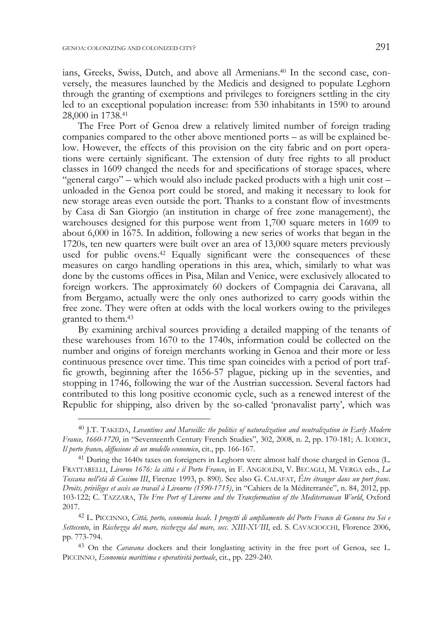-

ians, Greeks, Swiss, Dutch, and above all Armenians.40 In the second case, conversely, the measures launched by the Medicis and designed to populate Leghorn through the granting of exemptions and privileges to foreigners settling in the city led to an exceptional population increase: from 530 inhabitants in 1590 to around 28,000 in 1738.41

The Free Port of Genoa drew a relatively limited number of foreign trading companies compared to the other above mentioned ports – as will be explained below. However, the effects of this provision on the city fabric and on port operations were certainly significant. The extension of duty free rights to all product classes in 1609 changed the needs for and specifications of storage spaces, where "general cargo" – which would also include packed products with a high unit cost – unloaded in the Genoa port could be stored, and making it necessary to look for new storage areas even outside the port. Thanks to a constant flow of investments by Casa di San Giorgio (an institution in charge of free zone management), the warehouses designed for this purpose went from 1,700 square meters in 1609 to about 6,000 in 1675. In addition, following a new series of works that began in the 1720s, ten new quarters were built over an area of 13,000 square meters previously used for public ovens.<sup>42</sup> Equally significant were the consequences of these measures on cargo handling operations in this area, which, similarly to what was done by the customs offices in Pisa, Milan and Venice, were exclusively allocated to foreign workers. The approximately 60 dockers of Compagnia dei Caravana, all from Bergamo, actually were the only ones authorized to carry goods within the free zone. They were often at odds with the local workers owing to the privileges granted to them.43

By examining archival sources providing a detailed mapping of the tenants of these warehouses from 1670 to the 1740s, information could be collected on the number and origins of foreign merchants working in Genoa and their more or less continuous presence over time. This time span coincides with a period of port traffic growth, beginning after the 1656-57 plague, picking up in the seventies, and stopping in 1746, following the war of the Austrian succession. Several factors had contributed to this long positive economic cycle, such as a renewed interest of the Republic for shipping, also driven by the so-called 'pronavalist party', which was

<sup>40</sup> J.T. TAKEDA, *Levantines and Marseille: the politics of naturalization and neutralization in Early Modern France, 1660-1720*, in "Seventeenth Century French Studies", 302, 2008, n. 2, pp. 170-181; A. IODICE, *Il porto franco, diffusione di un modello economico*, cit., pp. 166-167.

<sup>41</sup> During the 1640s taxes on foreigners in Leghorn were almost half those charged in Genoa (L. FRATTARELLI, *Livorno 1676: la città e il Porto Franco*, in F. ANGIOLINI, V. BECAGLI, M. VERGA eds., *La Toscana nell'età di Cosimo III*, Firenze 1993, p. 890). See also G. CALAFAT, *Être étranger dans un port franc. Droits, privilèges et accès au travail à Livourne (1590-1715)*, in "Cahiers de la Méditerranée", n. 84, 2012, pp. 103-122; C. TAZZARA, *The Free Port of Livorno and the Transformation of the Mediterranean World*, Oxford 2017.

<sup>42</sup> L. PICCINNO, *Città, porto, economia locale. I progetti di ampliamento del Porto Franco di Genova tra Sei e Settecento*, in *Ricchezza del mare, ricchezza dal mare, secc. XIII-XVIII*, ed. S. CAVACIOCCHI, Florence 2006, pp. 773-794.

<sup>43</sup> On the *Caravana* dockers and their longlasting activity in the free port of Genoa, see L. PICCINNO, *Economia marittima e operatività portuale*, cit., pp. 229-240.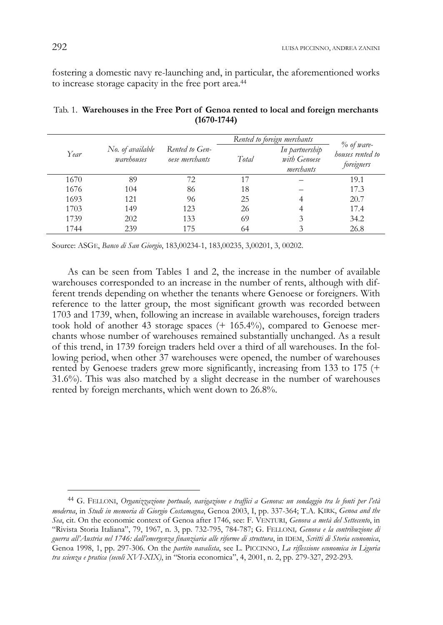fostering a domestic navy re-launching and, in particular, the aforementioned works to increase storage capacity in the free port area.44

|      |                                |                                  | Rented to foreign merchants |                                             |                                                 |
|------|--------------------------------|----------------------------------|-----------------------------|---------------------------------------------|-------------------------------------------------|
| Year | No. of available<br>warehouses | Rented to Gen-<br>oese merchants | Total                       | In partnership<br>with Genoese<br>merchants | $\%$ of ware-<br>houses rented to<br>foreigners |
| 1670 | 89                             | 72                               | 17                          |                                             | 19.1                                            |
| 1676 | 104                            | 86                               | 18                          |                                             | 17.3                                            |
| 1693 | 121                            | 96                               | 25                          |                                             | 20.7                                            |
| 1703 | 149                            | 123                              | 26                          |                                             | 17.4                                            |
| 1739 | 202                            | 133                              | 69                          | 3                                           | 34.2                                            |
| 1744 | 239                            | 175                              | 64                          | 3                                           | 26.8                                            |

Tab. 1. **Warehouses in the Free Port of Genoa rented to local and foreign merchants (1670-1744)** 

Source: ASGE, *Banco di San Giorgio*, 183,00234-1, 183,00235, 3,00201, 3, 00202.

As can be seen from Tables 1 and 2, the increase in the number of available warehouses corresponded to an increase in the number of rents, although with different trends depending on whether the tenants where Genoese or foreigners. With reference to the latter group, the most significant growth was recorded between 1703 and 1739, when, following an increase in available warehouses, foreign traders took hold of another 43 storage spaces (+ 165.4%), compared to Genoese merchants whose number of warehouses remained substantially unchanged. As a result of this trend, in 1739 foreign traders held over a third of all warehouses. In the following period, when other 37 warehouses were opened, the number of warehouses rented by Genoese traders grew more significantly, increasing from 133 to 175 (+ 31.6%). This was also matched by a slight decrease in the number of warehouses rented by foreign merchants, which went down to 26.8%.

<sup>44</sup> G. FELLONI, *Organizzazione portuale, navigazione e traffici a Genova: un sondaggio tra le fonti per l'età moderna*, in *Studi in memoria di Giorgio Costamagna*, Genoa 2003, I, pp. 337-364; T.A. KIRK, *Genoa and the Sea*, cit. On the economic context of Genoa after 1746, see: F. VENTURI, *Genova a metà del Settecento*, in "Rivista Storia Italiana", 79, 1967, n. 3, pp. 732-795, 784-787; G. FELLONI*, Genova e la contribuzione di guerra all'Austria nel 1746: dall'emergenza finanziaria alle riforme di struttura*, in IDEM, *Scritti di Storia economica*, Genoa 1998, 1, pp. 297-306. On the *partito navalista*, see L. PICCINNO, *La riflessione economica in Liguria tra scienza e pratica (secoli XVI-XIX)*, in "Storia economica", 4, 2001, n. 2, pp. 279-327, 292-293.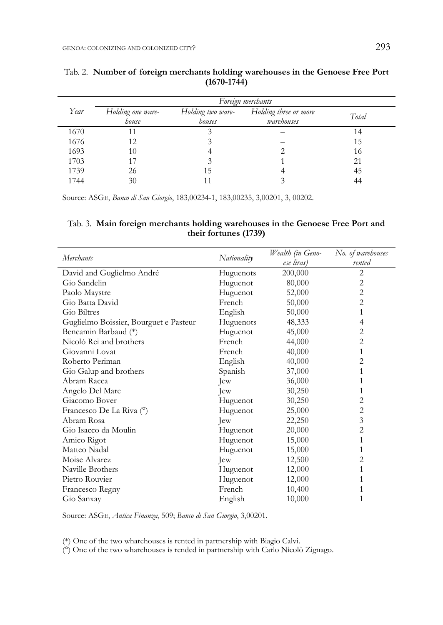|      | Foreign merchants          |                             |                                     |       |  |  |
|------|----------------------------|-----------------------------|-------------------------------------|-------|--|--|
| Year | Holding one ware-<br>house | Holding two ware-<br>houses | Holding three or more<br>warehouses | Total |  |  |
| 1670 |                            |                             |                                     | 14    |  |  |
| 1676 | 12                         |                             |                                     | 15    |  |  |
| 1693 | 10                         |                             |                                     | 16    |  |  |
| 1703 | 17                         |                             |                                     | 21    |  |  |
| 1739 | 26                         |                             |                                     | 45    |  |  |
| 1744 | 30                         |                             |                                     | 44    |  |  |

## Tab. 2. **Number of foreign merchants holding warehouses in the Genoese Free Port (1670-1744)**

Source: ASGE, *Banco di San Giorgio*, 183,00234-1, 183,00235, 3,00201, 3, 00202.

## Tab. 3. **Main foreign merchants holding warehouses in the Genoese Free Port and their fortunes (1739)**

| <b>Merchants</b>                       | Nationality | Wealth (in Geno- | No. of warehouses        |
|----------------------------------------|-------------|------------------|--------------------------|
|                                        |             | ese liras)       | rented<br>$\overline{2}$ |
| David and Guglielmo André              | Huguenots   | 200,000          |                          |
| Gio Sandelin                           | Huguenot    | 80,000           | 2                        |
| Paolo Maystre                          | Huguenot    | 52,000           | 2                        |
| Gio Batta David                        | French      | 50,000           | 2                        |
| Gio Biltres                            | English     | 50,000           | 1                        |
| Guglielmo Boissier, Bourguet e Pasteur | Huguenots   | 48,333           | 4                        |
| Beneamin Barbaud (*)                   | Huguenot    | 45,000           | 2                        |
| Nicolò Rei and brothers                | French      | 44,000           | 2                        |
| Giovanni Lovat                         | French      | 40,000           | 1                        |
| Roberto Periman                        | English     | 40,000           | 2                        |
| Gio Galup and brothers                 | Spanish     | 37,000           | 1                        |
| Abram Racca                            | Jew         | 36,000           |                          |
| Angelo Del Mare                        | Jew         | 30,250           | 1                        |
| Giacomo Bover                          | Huguenot    | 30,250           | 2                        |
| Francesco De La Riva (°)               | Huguenot    | 25,000           | 2                        |
| Abram Rosa                             | Jew         | 22,250           | 3                        |
| Gio Isacco da Moulin                   | Huguenot    | 20,000           | 2                        |
| Amico Rigot                            | Huguenot    | 15,000           | 1                        |
| Matteo Nadal                           | Huguenot    | 15,000           | 1                        |
| Moise Alvarez                          | Jew         | 12,500           | 2                        |
| Naville Brothers                       | Huguenot    | 12,000           | 1                        |
| Pietro Rouvier                         | Huguenot    | 12,000           |                          |
| Francesco Regny                        | French      | 10,400           | 1                        |
| Gio Sanxay                             | English     | 10,000           | 1                        |

Source: ASGE, *Antica Finanza*, 509; *Banco di San Giorgio*, 3,00201.

(\*) One of the two wharehouses is rented in partnership with Biagio Calvi.

(°) One of the two wharehouses is rended in partnership with Carlo Nicolò Zignago.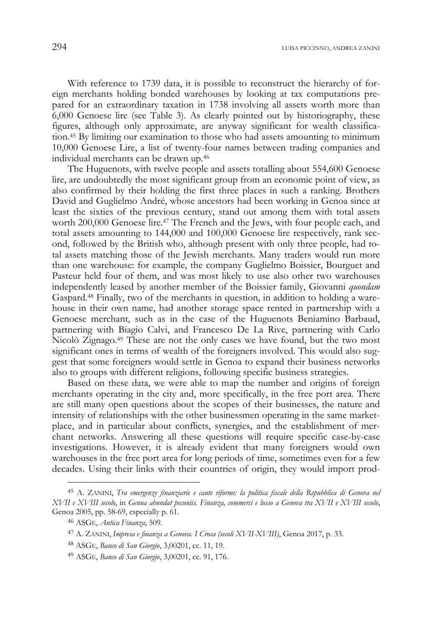With reference to 1739 data, it is possible to reconstruct the hierarchy of foreign merchants holding bonded warehouses by looking at tax computations prepared for an extraordinary taxation in 1738 involving all assets worth more than  $6,000$  Genoese lire (see Table 3). As clearly pointed out by historiography, these figures, although only approximate, are anyway significant for wealth classification.45 By limiting our examination to those who had assets amounting to minimum 10,000 Genoese Lire, a list of twenty-four names between trading companies and individual merchants can be drawn up.46

The Huguenots, with twelve people and assets totalling about 554,600 Genoese lire, are undoubtedly the most significant group from an economic point of view, as also confirmed by their holding the first three places in such a ranking. Brothers David and Guglielmo André, whose ancestors had been working in Genoa since at least the sixties of the previous century, stand out among them with total assets worth 200,000 Genoese lire.<sup>47</sup> The French and the Jews, with four people each, and total assets amounting to 144,000 and 100,000 Genoese lire respectively, rank second, followed by the British who, although present with only three people, had total assets matching those of the Jewish merchants. Many traders would run more than one warehouse: for example, the company Guglielmo Boissier, Bourguet and Pasteur held four of them, and was most likely to use also other two warehouses independently leased by another member of the Boissier family, Giovanni *quondam* Gaspard.48 Finally, two of the merchants in question, in addition to holding a warehouse in their own name, had another storage space rented in partnership with a Genoese merchant, such as in the case of the Huguenots Beniamino Barbaud, partnering with Biagio Calvi, and Francesco De La Rive, partnering with Carlo Nicolò Zignago.49 These are not the only cases we have found, but the two most significant ones in terms of wealth of the foreigners involved. This would also suggest that some foreigners would settle in Genoa to expand their business networks also to groups with different religions, following specific business strategies.

Based on these data, we were able to map the number and origins of foreign merchants operating in the city and, more specifically, in the free port area. There are still many open questions about the scopes of their businesses, the nature and intensity of relationships with the other businessmen operating in the same marketplace, and in particular about conflicts, synergies, and the establishment of merchant networks. Answering all these questions will require specific case-by-case investigations. However, it is already evident that many foreigners would own warehouses in the free port area for long periods of time, sometimes even for a few decades. Using their links with their countries of origin, they would import prod-

<sup>45</sup> A. ZANINI, *Tra emergenze finanziarie e caute riforme: la politica fiscale della Repubblica di Genova nel XVII e XVIII secolo*, in *Genua abundat pecuniis. Finanza, commerci e lusso a Genova tra XVII e XVIII secolo*, Genoa 2005, pp. 58-69, especially p. 61.

<sup>46</sup> ASGE, *Antica Finanza*, 509.

<sup>47</sup> A. ZANINI, *Impresa e finanza a Genova. I Crosa (secoli XVII-XVIII)*, Genoa 2017, p. 33.

<sup>48</sup> ASGE, *Banco di San Giorgio*, 3,00201, cc. 11, 19.

<sup>49</sup> ASGE, *Banco di San Giorgio*, 3,00201, cc. 91, 176.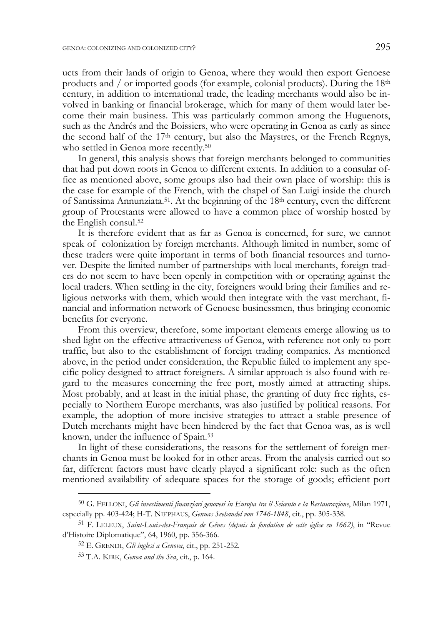ucts from their lands of origin to Genoa, where they would then export Genoese products and / or imported goods (for example, colonial products). During the  $18<sup>th</sup>$ century, in addition to international trade, the leading merchants would also be involved in banking or financial brokerage, which for many of them would later become their main business. This was particularly common among the Huguenots, such as the Andrés and the Boissiers, who were operating in Genoa as early as since the second half of the 17th century, but also the Maystres, or the French Regnys, who settled in Genoa more recently.<sup>50</sup>

In general, this analysis shows that foreign merchants belonged to communities that had put down roots in Genoa to different extents. In addition to a consular office as mentioned above, some groups also had their own place of worship: this is the case for example of the French, with the chapel of San Luigi inside the church of Santissima Annunziata.<sup>51</sup>. At the beginning of the  $18<sup>th</sup>$  century, even the different group of Protestants were allowed to have a common place of worship hosted by the English consul.52

It is therefore evident that as far as Genoa is concerned, for sure, we cannot speak of colonization by foreign merchants. Although limited in number, some of these traders were quite important in terms of both financial resources and turnover. Despite the limited number of partnerships with local merchants, foreign traders do not seem to have been openly in competition with or operating against the local traders. When settling in the city, foreigners would bring their families and religious networks with them, which would then integrate with the vast merchant, financial and information network of Genoese businessmen, thus bringing economic benefits for everyone.

From this overview, therefore, some important elements emerge allowing us to shed light on the effective attractiveness of Genoa, with reference not only to port traffic, but also to the establishment of foreign trading companies. As mentioned above, in the period under consideration, the Republic failed to implement any specific policy designed to attract foreigners. A similar approach is also found with regard to the measures concerning the free port, mostly aimed at attracting ships. Most probably, and at least in the initial phase, the granting of duty free rights, especially to Northern Europe merchants, was also justified by political reasons. For example, the adoption of more incisive strategies to attract a stable presence of Dutch merchants might have been hindered by the fact that Genoa was, as is well known, under the influence of Spain.53

In light of these considerations, the reasons for the settlement of foreign merchants in Genoa must be looked for in other areas. From the analysis carried out so far, different factors must have clearly played a significant role: such as the often mentioned availability of adequate spaces for the storage of goods; efficient port

<sup>50</sup> G. FELLONI, *Gli investimenti finanziari genovesi in Europa tra il Seicento e la Restaurazione*, Milan 1971, especially pp. 403-424; H-T. NIEPHAUS, *Genuas Seehandel von 1746-1848*, cit., pp. 305-338.

<sup>51</sup> F. LELEUX, *Saint-Louis-des-Français de Gênes (depuis la fondation de cette église en 1662)*, in "Revue d'Histoire Diplomatique", 64, 1960, pp. 356-366.

<sup>52</sup> E. GRENDI, *Gli inglesi a Genova*, cit., pp. 251-252.

<sup>53</sup> T.A. KIRK, *Genoa and the Sea*, cit., p. 164.